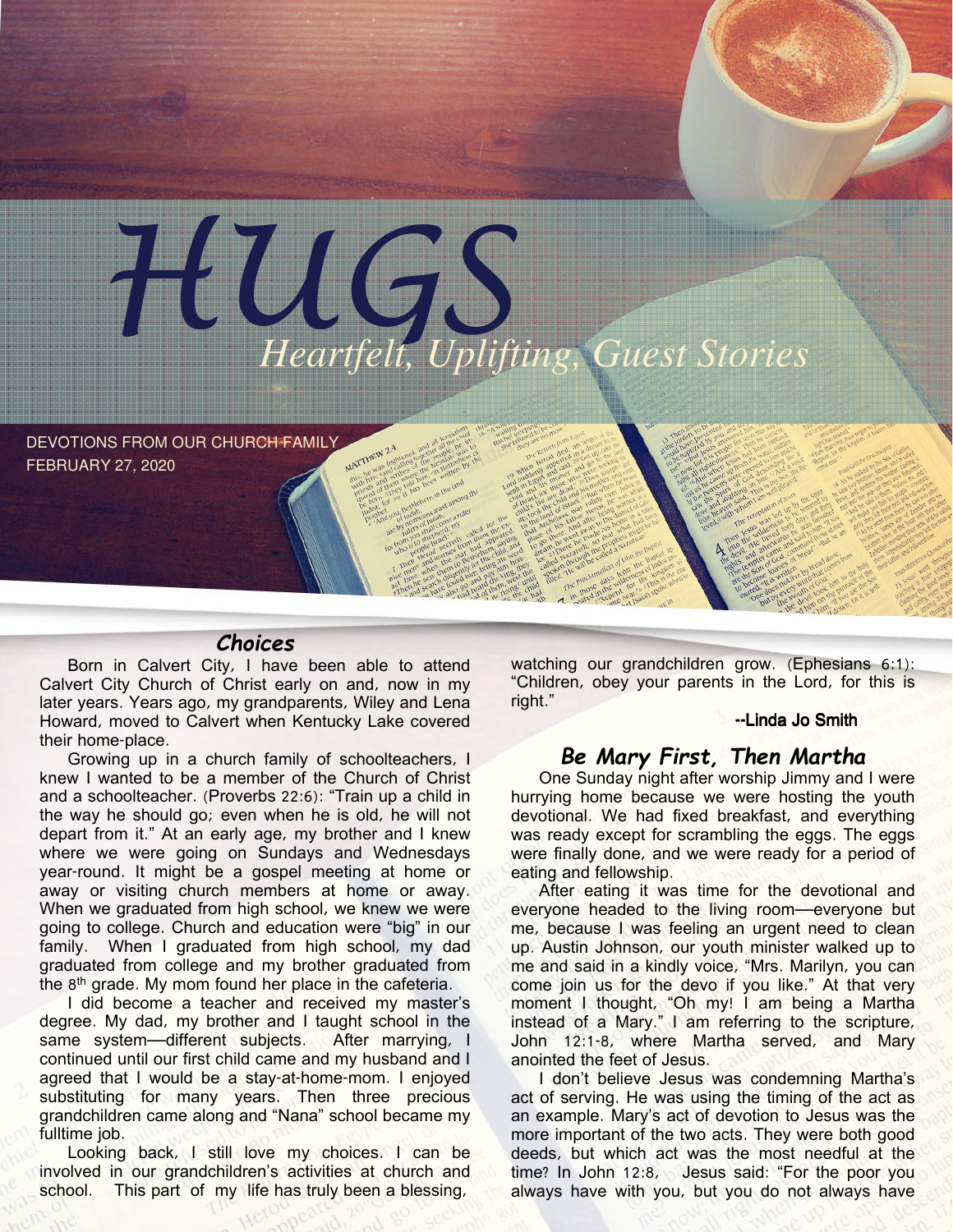

DEVOTIONS FROM OUR CHURCH FAMILY FEBRUARY 27, 2020

# Choices

Born in Calvert City, I have been able to attend Calvert City Church of Christ early on and, now in my later years. Years ago, my grandparents, Wiley and Lena Howard, moved to Calvert when Kentucky Lake covered their home-place.

Growing up in a church family of schoolteachers, I knew I wanted to be a member of the Church of Christ and a schoolteacher. (Proverbs 22:6): "Train up a child in the way he should go; even when he is old, he will not depart from it." At an early age, my brother and I knew where we were going on Sundays and Wednesdays year-round. It might be a gospel meeting at home or away or visiting church members at home or away. When we graduated from high school, we knew we were going to college. Church and education were "big" in our family. When I graduated from high school, my dad graduated from college and my brother graduated from the 8<sup>th</sup> grade. My mom found her place in the cafeteria.

I did become a teacher and received my master's degree. My dad, my brother and I taught school in the same system—different subjects. After marrying, I continued until our first child came and my husband and I agreed that I would be a stay-at-home-mom. I enjoyed substituting for many years. Then three precious grandchildren came along and "Nana" school became my fulltime job.

Looking back, I still love my choices. I can be involved in our grandchildren's activities at church and school. This part of my life has truly been a blessing,

watching our grandchildren grow. (Ephesians 6:1): "Children, obey your parents in the Lord, for this is right."

#### --Linda Jo Smith

### Be Mary First, Then Martha

One Sunday night after worship Jimmy and I were hurrying home because we were hosting the youth devotional. We had fixed breakfast, and everything was ready except for scrambling the eggs. The eggs were finally done, and we were ready for a period of eating and fellowship.

After eating it was time for the devotional and everyone headed to the living room—everyone but me, because I was feeling an urgent need to clean up. Austin Johnson, our youth minister walked up to me and said in a kindly voice, "Mrs. Marilyn, you can come join us for the devo if you like." At that very moment I thought, "Oh my! I am being a Martha instead of a Mary." I am referring to the scripture, John 12:1-8, where Martha served, and Mary anointed the feet of Jesus.

I don't believe Jesus was condemning Martha's act of serving. He was using the timing of the act as an example. Mary's act of devotion to Jesus was the more important of the two acts. They were both good deeds, but which act was the most needful at the time? In John 12:8, Jesus said: "For the poor you always have with you, but you do not always have